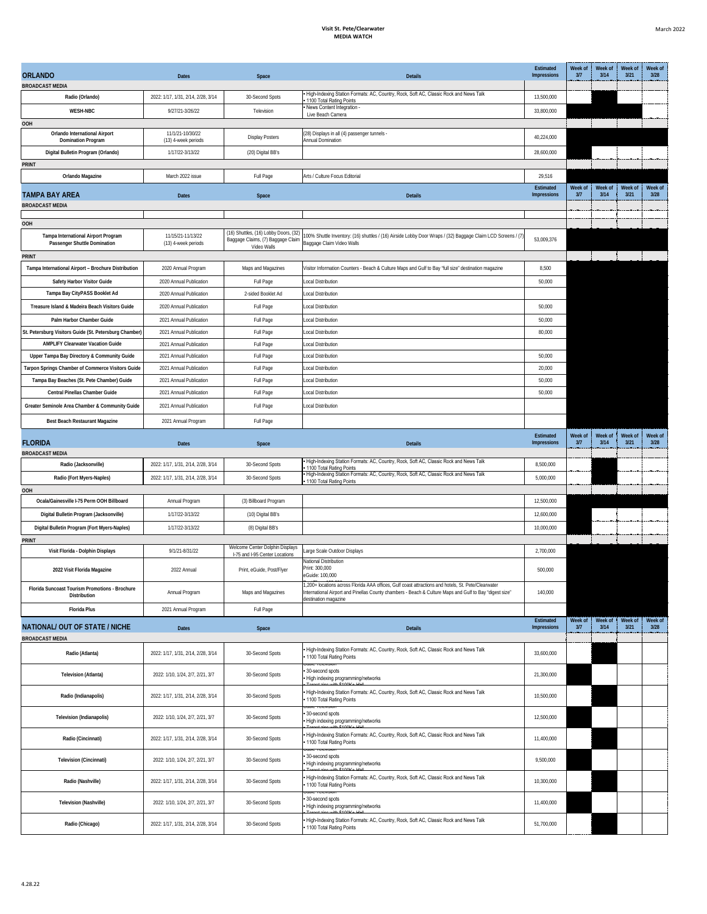## **Visit St. Pete/Clearwater MEDIA WATCH**

| <b>ORLANDO</b><br><b>BROADCAST MEDIA</b>                                                           | <b>Dates</b>                                       | Space                                                             | <b>Details</b>                                                                                                                                                                                                                         | Estimated<br>Impressions        | -----------<br>Week of<br>3/7 | ------------------------------<br>Week of<br>3/14 | Week of<br>3/21 | _________<br>Week of<br>3/28 |
|----------------------------------------------------------------------------------------------------|----------------------------------------------------|-------------------------------------------------------------------|----------------------------------------------------------------------------------------------------------------------------------------------------------------------------------------------------------------------------------------|---------------------------------|-------------------------------|---------------------------------------------------|-----------------|------------------------------|
| Radio (Orlando)                                                                                    | 2022: 1/17, 1/31, 2/14, 2/28, 3/14                 | 30-Second Spots                                                   | - High-Indexing Station Formats: AC, Country, Rock, Soft AC, Classic Rock and News Talk                                                                                                                                                | 13,500,000                      |                               |                                                   |                 |                              |
| <b>WESH-NBC</b>                                                                                    | 9/27/21-3/26/22                                    | Television                                                        | - 1100 Total Rating Points<br>- News Content Integration -                                                                                                                                                                             | 33,800,000                      |                               |                                                   |                 |                              |
|                                                                                                    |                                                    |                                                                   | Live Beach Camera                                                                                                                                                                                                                      |                                 |                               |                                                   |                 |                              |
| <b>OOH</b><br><b>Orlando International Airport</b><br><b>Domination Program</b>                    | 11/1/21-10/30/22<br>(13) 4-week periods            | <b>Display Posters</b>                                            | (28) Displays in all (4) passenger tunnels<br><b>Annual Domination</b>                                                                                                                                                                 | 40,224,000                      |                               |                                                   |                 |                              |
| Digital Bulletin Program (Orlando)                                                                 | 1/17/22-3/13/22                                    | (20) Digital BB's                                                 |                                                                                                                                                                                                                                        | 28,600,000                      |                               |                                                   |                 |                              |
| <b>PRINT</b>                                                                                       |                                                    |                                                                   |                                                                                                                                                                                                                                        |                                 |                               |                                                   |                 |                              |
| Orlando Magazine                                                                                   | March 2022 issue                                   | Full Page                                                         | Arts / Culture Focus Editorial                                                                                                                                                                                                         | 29,516                          |                               |                                                   |                 |                              |
| <b>TAMPA BAY AREA</b>                                                                              | <b>Dates</b>                                       | Space                                                             | <b>Details</b>                                                                                                                                                                                                                         | Estimated<br>Impressions        | Week of<br>3/7                | Week of<br>3/14                                   | Week of<br>3/21 | Week of<br>3/28              |
| <b>BROADCAST MEDIA</b>                                                                             |                                                    |                                                                   |                                                                                                                                                                                                                                        |                                 |                               |                                                   |                 |                              |
|                                                                                                    |                                                    |                                                                   |                                                                                                                                                                                                                                        |                                 |                               |                                                   |                 |                              |
| <b>OOH</b>                                                                                         |                                                    | (16) Shuttles, (16) Lobby Doors, (32)                             |                                                                                                                                                                                                                                        |                                 |                               |                                                   |                 |                              |
| Tampa International Airport Program<br><b>Passenger Shuttle Domination</b><br><b>PRINT</b>         | 11/15/21-11/13/22<br>(13) 4-week periods           | Baggage Claims, (7) Baggage Claim<br>Video Walls                  | 100% Shuttle Inventory: (16) shuttles / (16) Airside Lobby Door Wraps / (32) Baggage Claim LCD Screens / (7)<br>Baggage Claim Video Walls                                                                                              | 53,009,376                      |                               |                                                   |                 |                              |
| Tampa International Airport - Brochure Distribution                                                | 2020 Annual Program                                | Maps and Magazines                                                | Visitor Information Counters - Beach & Culture Maps and Gulf to Bay "full size" destination magazine                                                                                                                                   | 8,500                           |                               |                                                   |                 |                              |
| Safety Harbor Visitor Guide                                                                        | 2020 Annual Publication                            | Full Page                                                         | <b>Local Distribution</b>                                                                                                                                                                                                              | 50,000                          |                               |                                                   |                 |                              |
| Tampa Bay CityPASS Booklet Ad                                                                      | 2020 Annual Publication                            | 2-sided Booklet Ad                                                | <b>Local Distribution</b>                                                                                                                                                                                                              |                                 |                               |                                                   |                 |                              |
| Treasure Island & Madeira Beach Visitors Guide                                                     | 2020 Annual Publication                            | <b>Full Page</b>                                                  | <b>Local Distribution</b>                                                                                                                                                                                                              | 50,000                          |                               |                                                   |                 |                              |
|                                                                                                    |                                                    |                                                                   |                                                                                                                                                                                                                                        |                                 |                               |                                                   |                 |                              |
| Palm Harbor Chamber Guide                                                                          | 2021 Annual Publication                            | Full Page                                                         | <b>Local Distribution</b>                                                                                                                                                                                                              | 50,000                          |                               |                                                   |                 |                              |
| St. Petersburg Visitors Guide (St. Petersburg Chamber)<br><b>AMPLIFY Clearwater Vacation Guide</b> | 2021 Annual Publication<br>2021 Annual Publication | Full Page<br>Full Page                                            | <b>Local Distribution</b><br><b>Local Distribution</b>                                                                                                                                                                                 | 80,000                          |                               |                                                   |                 |                              |
| Upper Tampa Bay Directory & Community Guide                                                        | 2021 Annual Publication                            | Full Page                                                         | <b>Local Distribution</b>                                                                                                                                                                                                              | 50,000                          |                               |                                                   |                 |                              |
| Tarpon Springs Chamber of Commerce Visitors Guide                                                  | 2021 Annual Publication                            | Full Page                                                         | <b>Local Distribution</b>                                                                                                                                                                                                              | 20,000                          |                               |                                                   |                 |                              |
| Tampa Bay Beaches (St. Pete Chamber) Guide                                                         | 2021 Annual Publication                            | Full Page                                                         | <b>Local Distribution</b>                                                                                                                                                                                                              | 50,000                          |                               |                                                   |                 |                              |
| <b>Central Pinellas Chamber Guide</b>                                                              | 2021 Annual Publication                            | Full Page                                                         | <b>Local Distribution</b>                                                                                                                                                                                                              | 50,000                          |                               |                                                   |                 |                              |
| Greater Seminole Area Chamber & Community Guide                                                    | 2021 Annual Publication                            | Full Page                                                         | Local Distribution                                                                                                                                                                                                                     |                                 |                               |                                                   |                 |                              |
|                                                                                                    |                                                    |                                                                   |                                                                                                                                                                                                                                        |                                 |                               |                                                   |                 |                              |
| <b>Best Beach Restaurant Magazine</b>                                                              | 2021 Annual Program                                | Full Page                                                         |                                                                                                                                                                                                                                        |                                 |                               |                                                   |                 |                              |
| <b>FLORIDA</b><br><b>BROADCAST MEDIA</b>                                                           | <b>Dates</b>                                       | Space                                                             | <b>Details</b>                                                                                                                                                                                                                         | Estimated<br><b>Impressions</b> | Week of<br>3/7                | Week of<br>3/14                                   | Week of<br>3/21 | Week of<br>3/28              |
| Radio (Jacksonville)                                                                               | 2022: 1/17, 1/31, 2/14, 2/28, 3/14                 | 30-Second Spots                                                   | - High-Indexing Station Formats: AC, Country, Rock, Soft AC, Classic Rock and News Talk<br>- 1100 Total Rating Points                                                                                                                  | 8,500,000                       |                               |                                                   |                 | ---------------              |
| Radio (Fort Myers-Naples)                                                                          | 2022: 1/17, 1/31, 2/14, 2/28, 3/14                 | 30-Second Spots                                                   | - High-Indexing Station Formats: AC, Country, Rock, Soft AC, Classic Rock and News Talk<br>- 1100 Total Rating Points                                                                                                                  | 5,000,000                       |                               |                                                   |                 |                              |
| <b>OOH</b>                                                                                         |                                                    |                                                                   |                                                                                                                                                                                                                                        |                                 |                               |                                                   |                 |                              |
| Ocala/Gainesville I-75 Perm OOH Billboard                                                          | Annual Program                                     | (3) Billboard Program                                             |                                                                                                                                                                                                                                        | 12,500,000                      |                               |                                                   |                 |                              |
| Digital Bulletin Program (Jacksonville)                                                            | 1/17/22-3/13/22                                    | (10) Digital BB's                                                 |                                                                                                                                                                                                                                        | 12,600,000                      |                               |                                                   |                 |                              |
| Digital Bulletin Program (Fort Myers-Naples)                                                       | 1/17/22-3/13/22                                    | (8) Digital BB's                                                  |                                                                                                                                                                                                                                        | 10,000,000                      |                               |                                                   |                 |                              |
| <b>PRINT</b>                                                                                       |                                                    |                                                                   |                                                                                                                                                                                                                                        |                                 |                               |                                                   |                 | ---------                    |
| Visit Florida - Dolphin Displays                                                                   | 9/1/21-8/31/22                                     | Welcome Center Dolphin Displays<br>I-75 and I-95 Center Locations | Large Scale Outdoor Displays                                                                                                                                                                                                           | 2,700,000                       |                               |                                                   |                 |                              |
| 2022 Visit Florida Magazine                                                                        | 2022 Annual                                        | Print, eGuide, Post/Flyer                                         | <b>National Distribution</b><br>Print: 300,000                                                                                                                                                                                         | 500,000                         |                               |                                                   |                 |                              |
|                                                                                                    |                                                    |                                                                   | eGuide: 100,000                                                                                                                                                                                                                        |                                 |                               |                                                   |                 |                              |
| Florida Suncoast Tourism Promotions - Brochure<br><b>Distribution</b>                              | Annual Program                                     | Maps and Magazines                                                | 1,200+ locations across Florida AAA offices, Gulf coast attractions and hotels, St. Pete/Clearwater<br>International Airport and Pinellas County chambers - Beach & Culture Maps and Gulf to Bay "digest size"<br>destination magazine | 140,000                         |                               |                                                   |                 |                              |
| <b>Florida Plus</b>                                                                                | 2021 Annual Program                                | Full Page                                                         |                                                                                                                                                                                                                                        |                                 |                               |                                                   |                 |                              |
| NATIONAL/ OUT OF STATE / NICHE                                                                     | <b>Dates</b>                                       | Space                                                             | <b>Details</b>                                                                                                                                                                                                                         | Estimated<br>Impressions        | Week of<br>3/7                | Week of<br>3/14                                   | Week of<br>3/21 | Week of<br>3/28              |
| <b>BROADCAST MEDIA</b><br>Radio (Atlanta)                                                          | 2022: 1/17, 1/31, 2/14, 2/28, 3/14                 | 30-Second Spots                                                   | - High-Indexing Station Formats: AC, Country, Rock, Soft AC, Classic Rock and News Talk                                                                                                                                                | 33,600,000                      |                               |                                                   |                 |                              |
| <b>Television (Atlanta)</b>                                                                        | 2022: 1/10, 1/24, 2/7, 2/21, 3/7                   | 30-Second Spots                                                   | - 1100 Total Rating Points<br><u>ania i aignzini </u><br>- 30-second spots                                                                                                                                                             | 21,300,000                      |                               |                                                   |                 |                              |
| Radio (Indianapolis)                                                                               | 2022: 1/17, 1/31, 2/14, 2/28, 3/14                 | 30-Second Spots                                                   | - High indexing programming/networks<br>$with$ $0.400V$ , $LILH$<br>- High-Indexing Station Formats: AC, Country, Rock, Soft AC, Classic Rock and News Talk<br>- 1100 Total Rating Points                                              | 10,500,000                      |                               |                                                   |                 |                              |
| Television (Indianapolis)                                                                          | 2022: 1/10, 1/24, 2/7, 2/21, 3/7                   | 30-Second Spots                                                   | - 30-second spots<br>- High indexing programming/networks                                                                                                                                                                              | 12,500,000                      |                               |                                                   |                 |                              |
| Radio (Cincinnati)                                                                                 | 2022: 1/17, 1/31, 2/14, 2/28, 3/14                 | 30-Second Spots                                                   | $H = 2400K$<br>- High-Indexing Station Formats: AC, Country, Rock, Soft AC, Classic Rock and News Talk<br>- 1100 Total Rating Points                                                                                                   | 11,400,000                      |                               |                                                   |                 |                              |
| <b>Television (Cincinnati)</b>                                                                     | 2022: 1/10, 1/24, 2/7, 2/21, 3/7                   | 30-Second Spots                                                   | <u>MANA LAIGNISIN</u><br>- 30-second spots<br>- High indexing programming/networks                                                                                                                                                     | 9,500,000                       |                               |                                                   |                 |                              |
| Radio (Nashville)                                                                                  | 2022: 1/17, 1/31, 2/14, 2/28, 3/14                 | 30-Second Spots                                                   | $1.346$ $0.4001$ $1.111$<br>- High-Indexing Station Formats: AC, Country, Rock, Soft AC, Classic Rock and News Talk<br>- 1100 Total Rating Points                                                                                      | 10,300,000                      |                               |                                                   |                 |                              |
| <b>Television (Nashville)</b>                                                                      | 2022: 1/10, 1/24, 2/7, 2/21, 3/7                   | 30-Second Spots                                                   | <u>anne reiensior</u><br>- 30-second spots<br>- High indexing programming/networks                                                                                                                                                     | 11,400,000                      |                               |                                                   |                 |                              |
| Radio (Chicago)                                                                                    | 2022: 1/17, 1/31, 2/14, 2/28, 3/14                 | 30-Second Spots                                                   | Torget sine with C400K, LILIL<br>High-Indexing Station Formats: AC, Country, Rock, Soft AC, Classic Rock and News Talk<br>- 1100 Total Rating Points                                                                                   | 51,700,000                      |                               |                                                   |                 |                              |